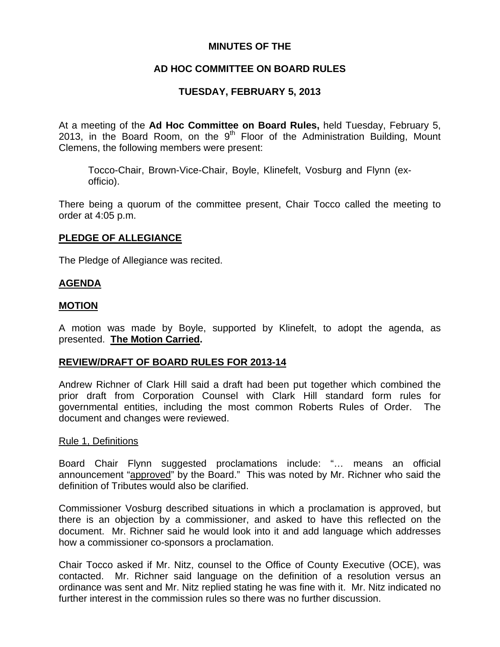# **MINUTES OF THE**

# **AD HOC COMMITTEE ON BOARD RULES**

# **TUESDAY, FEBRUARY 5, 2013**

At a meeting of the **Ad Hoc Committee on Board Rules,** held Tuesday, February 5, 2013, in the Board Room, on the  $9<sup>th</sup>$  Floor of the Administration Building, Mount Clemens, the following members were present:

Tocco-Chair, Brown-Vice-Chair, Boyle, Klinefelt, Vosburg and Flynn (exofficio).

There being a quorum of the committee present, Chair Tocco called the meeting to order at 4:05 p.m.

# **PLEDGE OF ALLEGIANCE**

The Pledge of Allegiance was recited.

## **AGENDA**

## **MOTION**

A motion was made by Boyle, supported by Klinefelt, to adopt the agenda, as presented. **The Motion Carried.** 

## **REVIEW/DRAFT OF BOARD RULES FOR 2013-14**

Andrew Richner of Clark Hill said a draft had been put together which combined the prior draft from Corporation Counsel with Clark Hill standard form rules for governmental entities, including the most common Roberts Rules of Order. The document and changes were reviewed.

## Rule 1, Definitions

Board Chair Flynn suggested proclamations include: "… means an official announcement "approved" by the Board." This was noted by Mr. Richner who said the definition of Tributes would also be clarified.

Commissioner Vosburg described situations in which a proclamation is approved, but there is an objection by a commissioner, and asked to have this reflected on the document. Mr. Richner said he would look into it and add language which addresses how a commissioner co-sponsors a proclamation.

Chair Tocco asked if Mr. Nitz, counsel to the Office of County Executive (OCE), was contacted. Mr. Richner said language on the definition of a resolution versus an ordinance was sent and Mr. Nitz replied stating he was fine with it. Mr. Nitz indicated no further interest in the commission rules so there was no further discussion.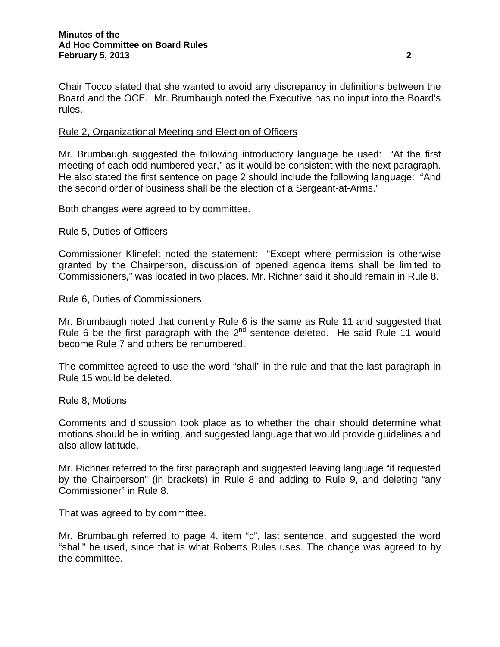Chair Tocco stated that she wanted to avoid any discrepancy in definitions between the Board and the OCE. Mr. Brumbaugh noted the Executive has no input into the Board's rules.

## Rule 2, Organizational Meeting and Election of Officers

Mr. Brumbaugh suggested the following introductory language be used: "At the first meeting of each odd numbered year," as it would be consistent with the next paragraph. He also stated the first sentence on page 2 should include the following language: "And the second order of business shall be the election of a Sergeant-at-Arms."

Both changes were agreed to by committee.

## Rule 5, Duties of Officers

Commissioner Klinefelt noted the statement: "Except where permission is otherwise granted by the Chairperson, discussion of opened agenda items shall be limited to Commissioners," was located in two places. Mr. Richner said it should remain in Rule 8.

## Rule 6, Duties of Commissioners

Mr. Brumbaugh noted that currently Rule 6 is the same as Rule 11 and suggested that Rule 6 be the first paragraph with the  $2^{nd}$  sentence deleted. He said Rule 11 would become Rule 7 and others be renumbered.

The committee agreed to use the word "shall" in the rule and that the last paragraph in Rule 15 would be deleted.

## Rule 8, Motions

Comments and discussion took place as to whether the chair should determine what motions should be in writing, and suggested language that would provide guidelines and also allow latitude.

Mr. Richner referred to the first paragraph and suggested leaving language "if requested by the Chairperson" (in brackets) in Rule 8 and adding to Rule 9, and deleting "any Commissioner" in Rule 8.

That was agreed to by committee.

Mr. Brumbaugh referred to page 4, item "c", last sentence, and suggested the word "shall" be used, since that is what Roberts Rules uses. The change was agreed to by the committee.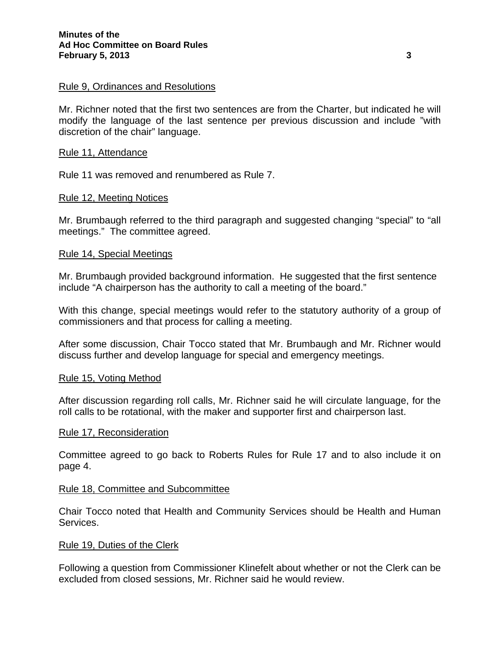## Rule 9, Ordinances and Resolutions

Mr. Richner noted that the first two sentences are from the Charter, but indicated he will modify the language of the last sentence per previous discussion and include "with discretion of the chair" language.

## Rule 11, Attendance

Rule 11 was removed and renumbered as Rule 7.

## Rule 12, Meeting Notices

Mr. Brumbaugh referred to the third paragraph and suggested changing "special" to "all meetings." The committee agreed.

## Rule 14, Special Meetings

Mr. Brumbaugh provided background information. He suggested that the first sentence include "A chairperson has the authority to call a meeting of the board."

With this change, special meetings would refer to the statutory authority of a group of commissioners and that process for calling a meeting.

After some discussion, Chair Tocco stated that Mr. Brumbaugh and Mr. Richner would discuss further and develop language for special and emergency meetings.

#### Rule 15, Voting Method

After discussion regarding roll calls, Mr. Richner said he will circulate language, for the roll calls to be rotational, with the maker and supporter first and chairperson last.

#### Rule 17, Reconsideration

Committee agreed to go back to Roberts Rules for Rule 17 and to also include it on page 4.

#### Rule 18, Committee and Subcommittee

Chair Tocco noted that Health and Community Services should be Health and Human Services.

#### Rule 19, Duties of the Clerk

Following a question from Commissioner Klinefelt about whether or not the Clerk can be excluded from closed sessions, Mr. Richner said he would review.